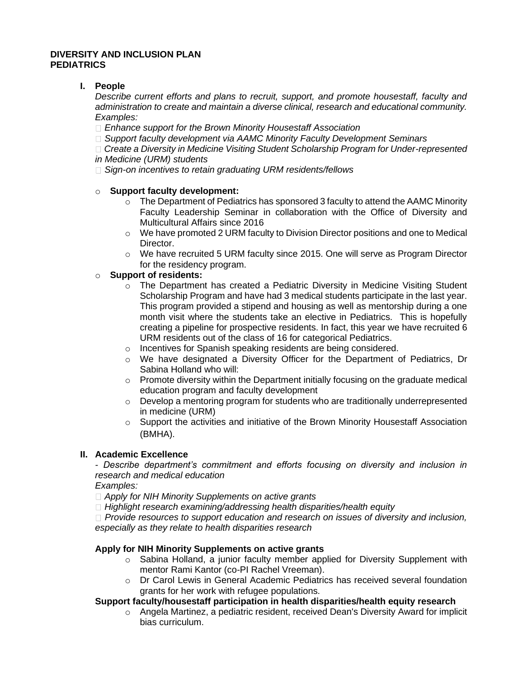## **DIVERSITY AND INCLUSION PLAN PEDIATRICS**

## **I. People**

*Describe current efforts and plans to recruit, support, and promote housestaff, faculty and administration to create and maintain a diverse clinical, research and educational community. Examples:* 

- *Enhance support for the Brown Minority Housestaff Association*
- *Support faculty development via AAMC Minority Faculty Development Seminars*

*Create a Diversity in Medicine Visiting Student Scholarship Program for Under-represented in Medicine (URM) students* 

*Sign-on incentives to retain graduating URM residents/fellows* 

## o **Support faculty development:**

- $\circ$  The Department of Pediatrics has sponsored 3 faculty to attend the AAMC Minority Faculty Leadership Seminar in collaboration with the Office of Diversity and Multicultural Affairs since 2016
- $\circ$  We have promoted 2 URM faculty to Division Director positions and one to Medical Director.
- o We have recruited 5 URM faculty since 2015. One will serve as Program Director for the residency program.

# o **Support of residents:**

- $\circ$  The Department has created a Pediatric Diversity in Medicine Visiting Student Scholarship Program and have had 3 medical students participate in the last year. This program provided a stipend and housing as well as mentorship during a one month visit where the students take an elective in Pediatrics. This is hopefully creating a pipeline for prospective residents. In fact, this year we have recruited 6 URM residents out of the class of 16 for categorical Pediatrics.
- o Incentives for Spanish speaking residents are being considered.
- $\circ$  We have designated a Diversity Officer for the Department of Pediatrics, Dr Sabina Holland who will:
- $\circ$  Promote diversity within the Department initially focusing on the graduate medical education program and faculty development
- o Develop a mentoring program for students who are traditionally underrepresented in medicine (URM)
- $\circ$  Support the activities and initiative of the Brown Minority Housestaff Association (BMHA).

## **II. Academic Excellence**

*- Describe department's commitment and efforts focusing on diversity and inclusion in research and medical education* 

*Examples:* 

*Apply for NIH Minority Supplements on active grants* 

*Highlight research examining/addressing health disparities/health equity* 

*Provide resources to support education and research on issues of diversity and inclusion, especially as they relate to health disparities research* 

## **Apply for NIH Minority Supplements on active grants**

- o Sabina Holland, a junior faculty member applied for Diversity Supplement with mentor Rami Kantor (co-PI Rachel Vreeman).
- o Dr Carol Lewis in General Academic Pediatrics has received several foundation grants for her work with refugee populations.

## **Support faculty/housestaff participation in health disparities/health equity research**

 $\circ$  Angela Martinez, a pediatric resident, received Dean's Diversity Award for implicit bias curriculum.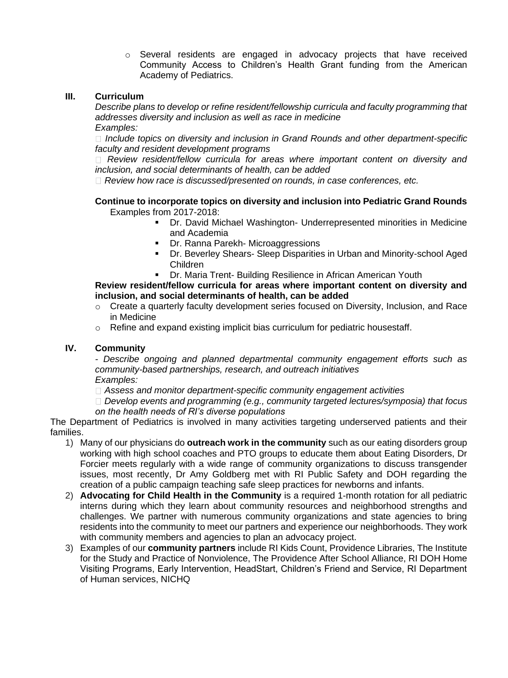o Several residents are engaged in advocacy projects that have received Community Access to Children's Health Grant funding from the American Academy of Pediatrics.

## **III. Curriculum**

*Describe plans to develop or refine resident/fellowship curricula and faculty programming that addresses diversity and inclusion as well as race in medicine Examples:* 

*Include topics on diversity and inclusion in Grand Rounds and other department-specific faculty and resident development programs* 

*Review resident/fellow curricula for areas where important content on diversity and inclusion, and social determinants of health, can be added* 

*Review how race is discussed/presented on rounds, in case conferences, etc.* 

#### **Continue to incorporate topics on diversity and inclusion into Pediatric Grand Rounds**  Examples from 2017-2018:

- Dr. David Michael Washington- Underrepresented minorities in Medicine and Academia
- **Dr. Ranna Parekh- Microaggressions**
- Dr. Beverley Shears- Sleep Disparities in Urban and Minority-school Aged Children
- Dr. Maria Trent- Building Resilience in African American Youth

**Review resident/fellow curricula for areas where important content on diversity and inclusion, and social determinants of health, can be added** 

- $\circ$  Create a quarterly faculty development series focused on Diversity, Inclusion, and Race in Medicine
- $\circ$  Refine and expand existing implicit bias curriculum for pediatric housestaff.

#### **IV. Community**

*- Describe ongoing and planned departmental community engagement efforts such as community-based partnerships, research, and outreach initiatives Examples:* 

*Assess and monitor department-specific community engagement activities* 

*Develop events and programming (e.g., community targeted lectures/symposia) that focus on the health needs of RI's diverse populations* 

The Department of Pediatrics is involved in many activities targeting underserved patients and their families.

- 1) Many of our physicians do **outreach work in the community** such as our eating disorders group working with high school coaches and PTO groups to educate them about Eating Disorders, Dr Forcier meets regularly with a wide range of community organizations to discuss transgender issues, most recently, Dr Amy Goldberg met with RI Public Safety and DOH regarding the creation of a public campaign teaching safe sleep practices for newborns and infants.
- 2) **Advocating for Child Health in the Community** is a required 1-month rotation for all pediatric interns during which they learn about community resources and neighborhood strengths and challenges. We partner with numerous community organizations and state agencies to bring residents into the community to meet our partners and experience our neighborhoods. They work with community members and agencies to plan an advocacy project.
- 3) Examples of our **community partners** include RI Kids Count, Providence Libraries, The Institute for the Study and Practice of Nonviolence, The Providence After School Alliance, RI DOH Home Visiting Programs, Early Intervention, HeadStart, Children's Friend and Service, RI Department of Human services, NICHQ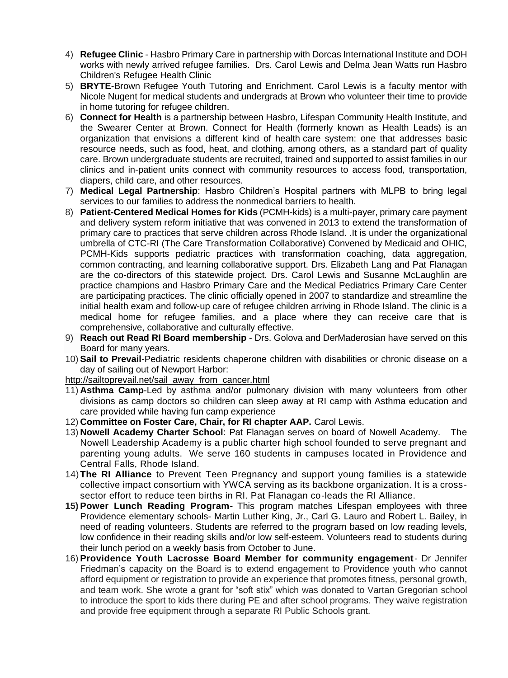- 4) **Refugee Clinic** Hasbro Primary Care in partnership with Dorcas International Institute and DOH works with newly arrived refugee families. Drs. Carol Lewis and Delma Jean Watts run Hasbro Children's Refugee Health Clinic
- 5) **BRYTE**-Brown Refugee Youth Tutoring and Enrichment. Carol Lewis is a faculty mentor with Nicole Nugent for medical students and undergrads at Brown who volunteer their time to provide in home tutoring for refugee children.
- 6) **Connect for Health** is a partnership between Hasbro, Lifespan Community Health Institute, and the Swearer Center at Brown. Connect for Health (formerly known as Health Leads) is an organization that envisions a different kind of health care system: one that addresses basic resource needs, such as food, heat, and clothing, among others, as a standard part of quality care. Brown undergraduate students are recruited, trained and supported to assist families in our clinics and in-patient units connect with community resources to access food, transportation, diapers, child care, and other resources.
- 7) **Medical Legal Partnership**: Hasbro Children's Hospital partners with MLPB to bring legal services to our families to address the nonmedical barriers to health.
- 8) **Patient-Centered Medical Homes for Kids** (PCMH-kids) is a multi-payer, primary care payment and delivery system reform initiative that was convened in 2013 to extend the transformation of primary care to practices that serve children across Rhode Island. .It is under the organizational umbrella of CTC-RI (The Care Transformation Collaborative) Convened by Medicaid and OHIC, PCMH-Kids supports pediatric practices with transformation coaching, data aggregation, common contracting, and learning collaborative support. Drs. Elizabeth Lang and Pat Flanagan are the co-directors of this statewide project. Drs. Carol Lewis and Susanne McLaughlin are practice champions and Hasbro Primary Care and the Medical Pediatrics Primary Care Center are participating practices. The clinic officially opened in 2007 to standardize and streamline the initial health exam and follow-up care of refugee children arriving in Rhode Island. The clinic is a medical home for refugee families, and a place where they can receive care that is comprehensive, collaborative and culturally effective.
- 9) **Reach out Read RI Board membership** Drs. Golova and DerMaderosian have served on this Board for many years.
- 10) **Sail to Prevail**-Pediatric residents chaperone children with disabilities or chronic disease on a day of sailing out of Newport Harbor:

[http://sailtoprevail.net/sail\\_away\\_from\\_cancer.html](http://sailtoprevail.net/sail_away_from_cancer.html)

- 11) **Asthma Camp**-Led by asthma and/or pulmonary division with many volunteers from other divisions as camp doctors so children can sleep away at RI camp with Asthma education and care provided while having fun camp experience
- 12) **Committee on Foster Care, Chair, for RI chapter AAP.** Carol Lewis.
- 13) **Nowell Academy Charter School**: Pat Flanagan serves on board of Nowell Academy. The Nowell Leadership Academy is a public charter high school founded to serve pregnant and parenting young adults. We serve 160 students in campuses located in Providence and Central Falls, Rhode Island.
- 14)**The RI Alliance** to Prevent Teen Pregnancy and support young families is a statewide collective impact consortium with YWCA serving as its backbone organization. It is a crosssector effort to reduce teen births in RI. Pat Flanagan co-leads the RI Alliance.
- **15) Power Lunch Reading Program-** This program matches Lifespan employees with three Providence elementary schools- Martin Luther King, Jr., Carl G. Lauro and Robert L. Bailey, in need of reading volunteers. Students are referred to the program based on low reading levels, low confidence in their reading skills and/or low self-esteem. Volunteers read to students during their lunch period on a weekly basis from October to June.
- 16) **Providence Youth Lacrosse Board Member for community engagement** Dr Jennifer Friedman's capacity on the Board is to extend engagement to Providence youth who cannot afford equipment or registration to provide an experience that promotes fitness, personal growth, and team work. She wrote a grant for "soft stix" which was donated to Vartan Gregorian school to introduce the sport to kids there during PE and after school programs. They waive registration and provide free equipment through a separate RI Public Schools grant.